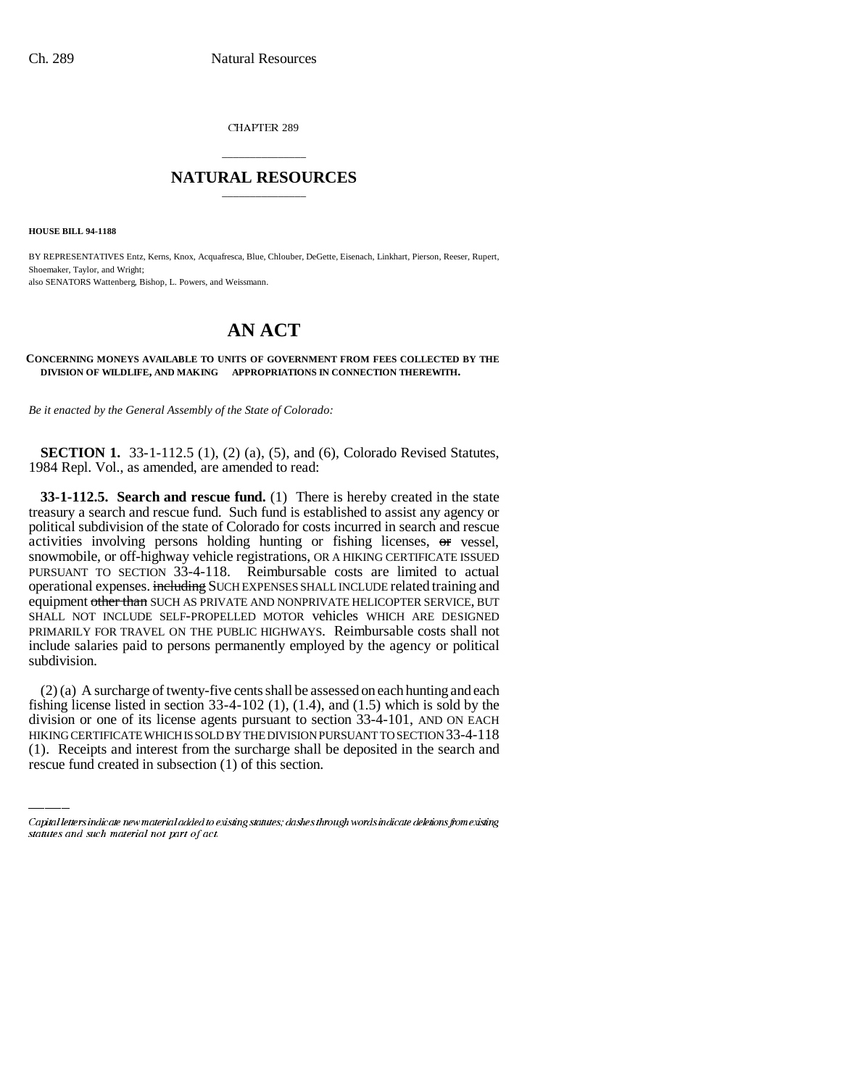CHAPTER 289

## \_\_\_\_\_\_\_\_\_\_\_\_\_\_\_ **NATURAL RESOURCES** \_\_\_\_\_\_\_\_\_\_\_\_\_\_\_

**HOUSE BILL 94-1188**

BY REPRESENTATIVES Entz, Kerns, Knox, Acquafresca, Blue, Chlouber, DeGette, Eisenach, Linkhart, Pierson, Reeser, Rupert, Shoemaker, Taylor, and Wright; also SENATORS Wattenberg, Bishop, L. Powers, and Weissmann.

## **AN ACT**

## **CONCERNING MONEYS AVAILABLE TO UNITS OF GOVERNMENT FROM FEES COLLECTED BY THE DIVISION OF WILDLIFE, AND MAKING APPROPRIATIONS IN CONNECTION THEREWITH.**

*Be it enacted by the General Assembly of the State of Colorado:*

**SECTION 1.** 33-1-112.5 (1), (2) (a), (5), and (6), Colorado Revised Statutes, 1984 Repl. Vol., as amended, are amended to read:

**33-1-112.5. Search and rescue fund.** (1) There is hereby created in the state treasury a search and rescue fund. Such fund is established to assist any agency or political subdivision of the state of Colorado for costs incurred in search and rescue activities involving persons holding hunting or fishing licenses, or vessel, snowmobile, or off-highway vehicle registrations, OR A HIKING CERTIFICATE ISSUED PURSUANT TO SECTION 33-4-118. Reimbursable costs are limited to actual operational expenses. including SUCH EXPENSES SHALL INCLUDE related training and equipment other than SUCH AS PRIVATE AND NONPRIVATE HELICOPTER SERVICE, BUT SHALL NOT INCLUDE SELF-PROPELLED MOTOR vehicles WHICH ARE DESIGNED PRIMARILY FOR TRAVEL ON THE PUBLIC HIGHWAYS. Reimbursable costs shall not include salaries paid to persons permanently employed by the agency or political subdivision.

fishing license listed in section 33-4-102 (1), (1.4), and (1.5) which is sold by the (2) (a) A surcharge of twenty-five cents shall be assessed on each hunting and each division or one of its license agents pursuant to section 33-4-101, AND ON EACH HIKING CERTIFICATE WHICH IS SOLD BY THE DIVISION PURSUANT TO SECTION 33-4-118 (1). Receipts and interest from the surcharge shall be deposited in the search and rescue fund created in subsection (1) of this section.

Capital letters indicate new material added to existing statutes; dashes through words indicate deletions from existing statutes and such material not part of act.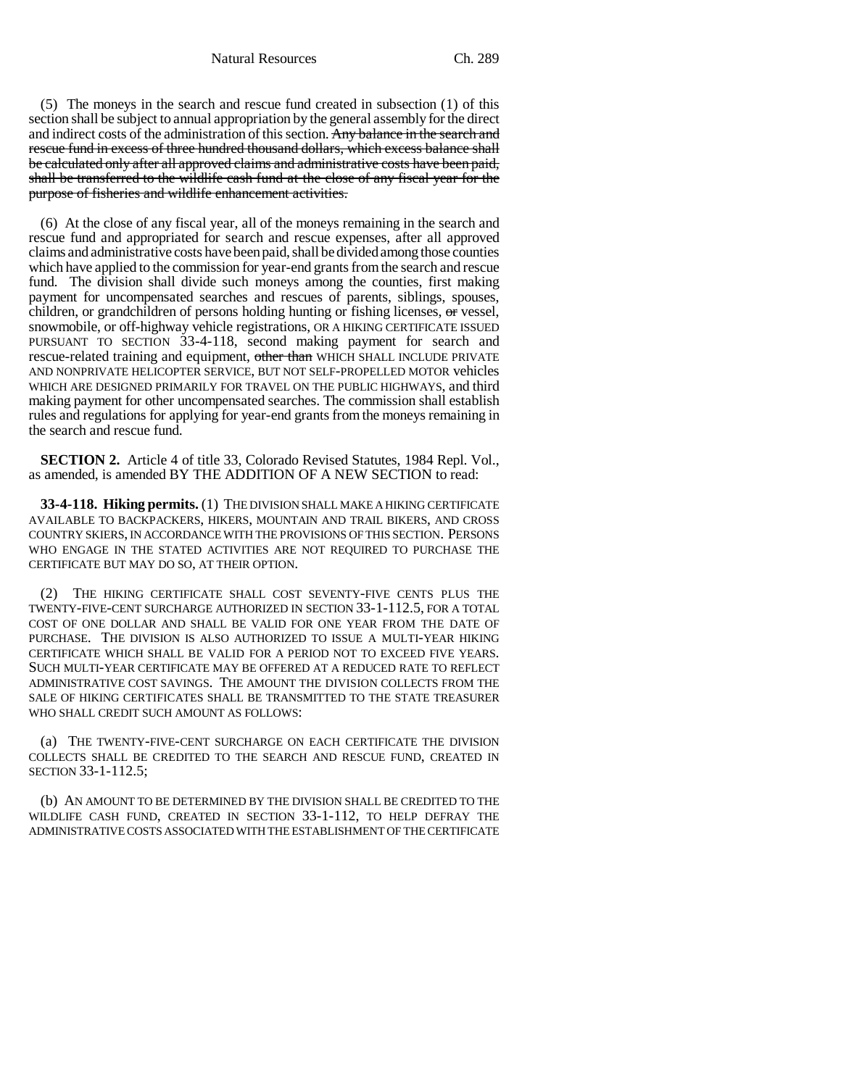Natural Resources Ch. 289

(5) The moneys in the search and rescue fund created in subsection (1) of this section shall be subject to annual appropriation by the general assembly for the direct and indirect costs of the administration of this section. Any balance in the search and rescue fund in excess of three hundred thousand dollars, which excess balance shall be calculated only after all approved claims and administrative costs have been paid, shall be transferred to the wildlife cash fund at the close of any fiscal year for the purpose of fisheries and wildlife enhancement activities.

(6) At the close of any fiscal year, all of the moneys remaining in the search and rescue fund and appropriated for search and rescue expenses, after all approved claims and administrative costs have been paid, shall be divided among those counties which have applied to the commission for year-end grants from the search and rescue fund. The division shall divide such moneys among the counties, first making payment for uncompensated searches and rescues of parents, siblings, spouses, children, or grandchildren of persons holding hunting or fishing licenses, or vessel, snowmobile, or off-highway vehicle registrations, OR A HIKING CERTIFICATE ISSUED PURSUANT TO SECTION 33-4-118, second making payment for search and rescue-related training and equipment, other than WHICH SHALL INCLUDE PRIVATE AND NONPRIVATE HELICOPTER SERVICE, BUT NOT SELF-PROPELLED MOTOR vehicles WHICH ARE DESIGNED PRIMARILY FOR TRAVEL ON THE PUBLIC HIGHWAYS, and third making payment for other uncompensated searches. The commission shall establish rules and regulations for applying for year-end grants from the moneys remaining in the search and rescue fund.

**SECTION 2.** Article 4 of title 33, Colorado Revised Statutes, 1984 Repl. Vol., as amended, is amended BY THE ADDITION OF A NEW SECTION to read:

**33-4-118. Hiking permits.** (1) THE DIVISION SHALL MAKE A HIKING CERTIFICATE AVAILABLE TO BACKPACKERS, HIKERS, MOUNTAIN AND TRAIL BIKERS, AND CROSS COUNTRY SKIERS, IN ACCORDANCE WITH THE PROVISIONS OF THIS SECTION. PERSONS WHO ENGAGE IN THE STATED ACTIVITIES ARE NOT REQUIRED TO PURCHASE THE CERTIFICATE BUT MAY DO SO, AT THEIR OPTION.

(2) THE HIKING CERTIFICATE SHALL COST SEVENTY-FIVE CENTS PLUS THE TWENTY-FIVE-CENT SURCHARGE AUTHORIZED IN SECTION 33-1-112.5, FOR A TOTAL COST OF ONE DOLLAR AND SHALL BE VALID FOR ONE YEAR FROM THE DATE OF PURCHASE. THE DIVISION IS ALSO AUTHORIZED TO ISSUE A MULTI-YEAR HIKING CERTIFICATE WHICH SHALL BE VALID FOR A PERIOD NOT TO EXCEED FIVE YEARS. SUCH MULTI-YEAR CERTIFICATE MAY BE OFFERED AT A REDUCED RATE TO REFLECT ADMINISTRATIVE COST SAVINGS. THE AMOUNT THE DIVISION COLLECTS FROM THE SALE OF HIKING CERTIFICATES SHALL BE TRANSMITTED TO THE STATE TREASURER WHO SHALL CREDIT SUCH AMOUNT AS FOLLOWS:

(a) THE TWENTY-FIVE-CENT SURCHARGE ON EACH CERTIFICATE THE DIVISION COLLECTS SHALL BE CREDITED TO THE SEARCH AND RESCUE FUND, CREATED IN SECTION 33-1-112.5;

(b) AN AMOUNT TO BE DETERMINED BY THE DIVISION SHALL BE CREDITED TO THE WILDLIFE CASH FUND, CREATED IN SECTION 33-1-112, TO HELP DEFRAY THE ADMINISTRATIVE COSTS ASSOCIATED WITH THE ESTABLISHMENT OF THE CERTIFICATE